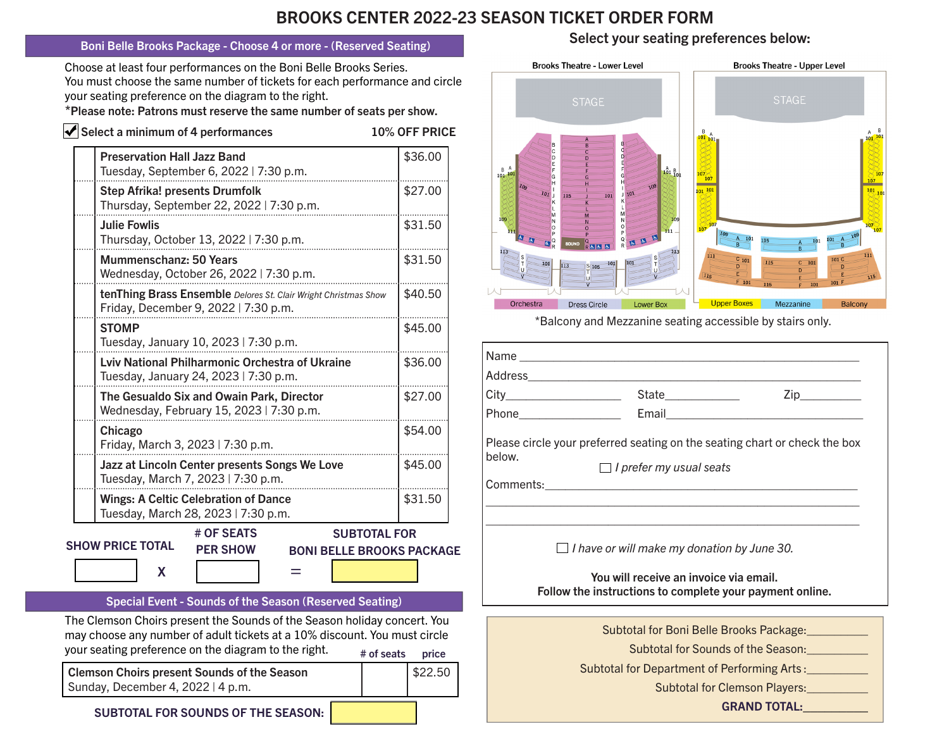## BROOKS CENTER 2022-23 SEASON TICKET ORDER FORM

## Boni Belle Brooks Package - Choose 4 or more - (Reserved Seating)

Choose at least four performances on the Boni Belle Brooks Series. You must choose the same number of tickets for each performance and circle your seating preference on the diagram to the right.

\*Please note: Patrons must reserve the same number of seats per show.

| $\blacktriangleright$ Select a minimum of 4 performances                                                | <b>10% OFF PRICE</b> |
|---------------------------------------------------------------------------------------------------------|----------------------|
| <b>Preservation Hall Jazz Band</b><br>Tuesday, September 6, 2022   7:30 p.m.                            | \$36.00              |
| <b>Step Afrika! presents Drumfolk</b><br>Thursday, September 22, 2022   7:30 p.m.                       | \$27.00              |
| <b>Julie Fowlis</b><br>Thursday, October 13, 2022   7:30 p.m.                                           | \$31.50              |
| Mummenschanz: 50 Years<br>Wednesday, October 26, 2022   7:30 p.m.                                       | \$31.50              |
| tenThing Brass Ensemble Delores St. Clair Wright Christmas Show<br>Friday, December 9, 2022   7:30 p.m. | \$40.50              |
| <b>STOMP</b><br>Tuesday, January 10, 2023   7:30 p.m.                                                   | \$45.00              |
| Lviv National Philharmonic Orchestra of Ukraine<br>Tuesday, January 24, 2023   7:30 p.m.                | \$36.00              |
| The Gesualdo Six and Owain Park, Director<br>Wednesday, February 15, 2023   7:30 p.m.                   | \$27.00              |
| Chicago<br>Friday, March 3, 2023   7:30 p.m.                                                            | \$54.00              |
| Jazz at Lincoln Center presents Songs We Love<br>Tuesday, March 7, 2023   7:30 p.m.                     | \$45.00              |
| <b>Wings: A Celtic Celebration of Dance</b><br>Tuesday, March 28, 2023   7:30 p.m.                      | \$31.50              |
| # OF SEATS                                                                                              | <b>SUBTOTAL FOR</b>  |

SHOW PRICE TOTAL

BONI BELLE BROOKS PACKAGE

Special Event - Sounds of the Season (Reserved Seating)

PER SHOW

 $\mathsf{x}$  =

The Clemson Choirs present the Sounds of the Season holiday concert. You may choose any number of adult tickets at a 10% discount. You must circle your seating preference on the diagram to the right.  $\theta$   $\theta$  seats price # of seats

Clemson Choirs present Sounds of the Season Sunday, December 4, 2022 | 4 p.m.

\$22.50

Select your seating preferences below:



\*Balcony and Mezzanine seating accessible by stairs only.

| below.                                                                                             | Please circle your preferred seating on the seating chart or check the box<br>$\Box$ I prefer my usual seats |                                                                                               |  |  |  |
|----------------------------------------------------------------------------------------------------|--------------------------------------------------------------------------------------------------------------|-----------------------------------------------------------------------------------------------|--|--|--|
|                                                                                                    |                                                                                                              |                                                                                               |  |  |  |
|                                                                                                    |                                                                                                              |                                                                                               |  |  |  |
|                                                                                                    |                                                                                                              |                                                                                               |  |  |  |
|                                                                                                    | $\Box$ I have or will make my donation by June 30.                                                           |                                                                                               |  |  |  |
| You will receive an invoice via email.<br>Follow the instructions to complete your payment online. |                                                                                                              |                                                                                               |  |  |  |
|                                                                                                    |                                                                                                              | Subtotal for Boni Belle Brooks Package:<br><u>Lettin Markets and Subtotal Brooks Package:</u> |  |  |  |
|                                                                                                    |                                                                                                              | Subtotal for Sounds of the Season:                                                            |  |  |  |
|                                                                                                    |                                                                                                              |                                                                                               |  |  |  |
|                                                                                                    | Subtotal for Department of Performing Arts:                                                                  |                                                                                               |  |  |  |
|                                                                                                    |                                                                                                              | <b>Subtotal for Clemson Players:</b>                                                          |  |  |  |

GRAND TOTAL:\_\_\_\_\_\_\_\_\_

SUBTOTAL FOR SOUNDS OF THE SEASON: